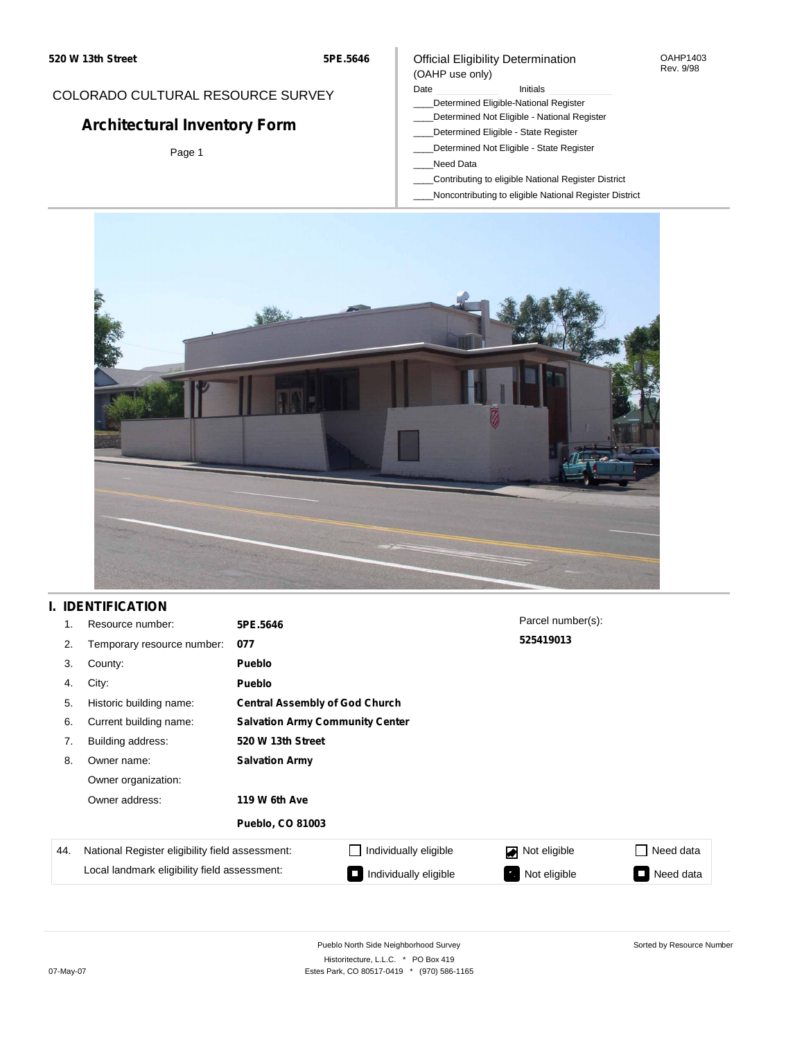#### OAHP1403 Rev. 9/98

# COLORADO CULTURAL RESOURCE SURVEY

# **Architectural Inventory Form**

Page 1

### Official Eligibility Determination (OAHP use only)

### Date **Initials** Initials

- \_\_\_\_Determined Eligible-National Register
- \_\_\_\_Determined Not Eligible National Register \_\_\_\_Determined Eligible - State Register
- \_\_\_\_Determined Not Eligible State Register
- \_\_\_\_Need Data
- \_\_\_\_Contributing to eligible National Register District
- \_\_\_\_Noncontributing to eligible National Register District



# **I. IDENTIFICATION**

| 1.  | Resource number:                                       | 5PE.5646                               |                                       | Parcel number(s): |                     |  |  |  |
|-----|--------------------------------------------------------|----------------------------------------|---------------------------------------|-------------------|---------------------|--|--|--|
| 2.  | Temporary resource number:                             | 077                                    |                                       | 525419013         |                     |  |  |  |
| 3.  | County:                                                | <b>Pueblo</b>                          |                                       |                   |                     |  |  |  |
| 4.  | City:                                                  | Pueblo                                 |                                       |                   |                     |  |  |  |
| 5.  | Historic building name:                                |                                        | <b>Central Assembly of God Church</b> |                   |                     |  |  |  |
| 6.  | Current building name:                                 | <b>Salvation Army Community Center</b> |                                       |                   |                     |  |  |  |
| 7.  | Building address:                                      | 520 W 13th Street                      |                                       |                   |                     |  |  |  |
| 8.  | Owner name:                                            | <b>Salvation Army</b>                  |                                       |                   |                     |  |  |  |
|     | Owner organization:<br>Owner address:<br>119 W 6th Ave |                                        |                                       |                   |                     |  |  |  |
|     |                                                        |                                        |                                       |                   |                     |  |  |  |
|     |                                                        | <b>Pueblo, CO 81003</b>                |                                       |                   |                     |  |  |  |
| 44. | National Register eligibility field assessment:        |                                        | Individually eligible                 | Not eligible      | Need data<br>$\Box$ |  |  |  |
|     | Local landmark eligibility field assessment:           |                                        | Individually eligible                 | Not eligible      | Need data<br>I.     |  |  |  |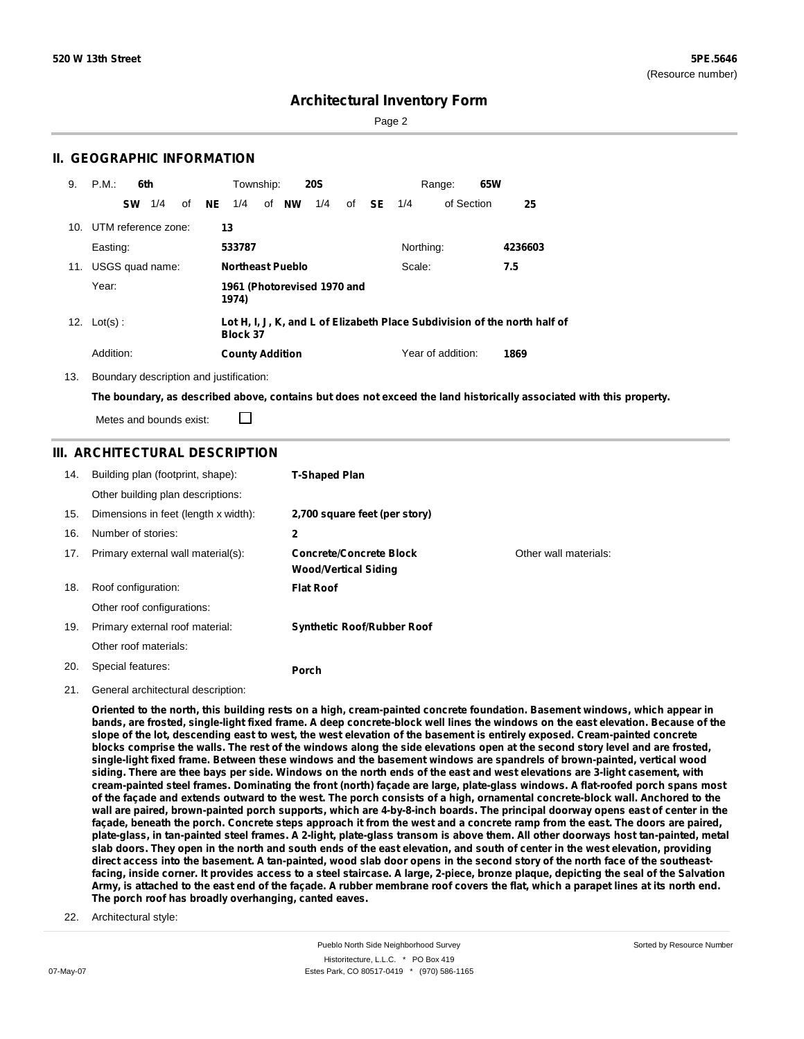Page 2

### **II. GEOGRAPHIC INFORMATION**

| 9. | P.M.                    |           | 6th |    |           | Township:                            |    |    | <b>20S</b> |    |           |           | 65W<br>Range:     |                                                                           |  |
|----|-------------------------|-----------|-----|----|-----------|--------------------------------------|----|----|------------|----|-----------|-----------|-------------------|---------------------------------------------------------------------------|--|
|    |                         | <b>SW</b> | 1/4 | of | <b>NE</b> | 1/4                                  | of | NW | 1/4        | of | <b>SE</b> | 1/4       | of Section        | 25                                                                        |  |
|    | 10. UTM reference zone: |           |     |    |           | 13                                   |    |    |            |    |           |           |                   |                                                                           |  |
|    | Easting:                |           |     |    |           | 533787                               |    |    |            |    |           | Northing: |                   | 4236603                                                                   |  |
|    | 11. USGS quad name:     |           |     |    |           | <b>Northeast Pueblo</b>              |    |    |            |    |           | Scale:    |                   | 7.5                                                                       |  |
|    | Year:                   |           |     |    |           | 1961 (Photorevised 1970 and<br>1974) |    |    |            |    |           |           |                   |                                                                           |  |
|    | 12. $Lot(s)$ :          |           |     |    |           | <b>Block 37</b>                      |    |    |            |    |           |           |                   | Lot H, I, J, K, and L of Elizabeth Place Subdivision of the north half of |  |
|    | Addition:               |           |     |    |           | <b>County Addition</b>               |    |    |            |    |           |           | Year of addition: | 1869                                                                      |  |

13. Boundary description and justification:

□

The boundary, as described above, contains but does not exceed the land historically associated with this property.

Metes and bounds exist:

### **III. ARCHITECTURAL DESCRIPTION**

| 14. | Building plan (footprint, shape):    | <b>T-Shaped Plan</b>                                          |                       |
|-----|--------------------------------------|---------------------------------------------------------------|-----------------------|
|     | Other building plan descriptions:    |                                                               |                       |
| 15. | Dimensions in feet (length x width): | 2,700 square feet (per story)                                 |                       |
| 16. | Number of stories:                   | 2                                                             |                       |
| 17. | Primary external wall material(s):   | <b>Concrete/Concrete Block</b><br><b>Wood/Vertical Siding</b> | Other wall materials: |
| 18. | Roof configuration:                  | <b>Flat Roof</b>                                              |                       |
|     | Other roof configurations:           |                                                               |                       |
| 19. | Primary external roof material:      | <b>Synthetic Roof/Rubber Roof</b>                             |                       |
|     | Other roof materials:                |                                                               |                       |
| 20. | Special features:                    | Porch                                                         |                       |

21. General architectural description:

Oriented to the north, this building rests on a high, cream-painted concrete foundation. Basement windows, which appear in bands, are frosted, single-light fixed frame. A deep concrete-block well lines the windows on the east elevation. Because of the slope of the lot, descending east to west, the west elevation of the basement is entirely exposed. Cream-painted concrete blocks comprise the walls. The rest of the windows along the side elevations open at the second story level and are frosted, single-light fixed frame. Between these windows and the basement windows are spandrels of brown-painted, vertical wood siding. There are thee bays per side. Windows on the north ends of the east and west elevations are 3-light casement, with cream-painted steel frames. Dominating the front (north) façade are large, plate-glass windows. A flat-roofed porch spans most of the façade and extends outward to the west. The porch consists of a high, ornamental concrete-block wall. Anchored to the wall are paired, brown-painted porch supports, which are 4-by-8-inch boards. The principal doorway opens east of center in the façade, beneath the porch. Concrete steps approach it from the west and a concrete ramp from the east. The doors are paired, plate-glass, in tan-painted steel frames. A 2-light, plate-glass transom is above them. All other doorways host tan-painted, metal slab doors. They open in the north and south ends of the east elevation, and south of center in the west elevation, providing direct access into the basement. A tan-painted, wood slab door opens in the second story of the north face of the southeastfacing, inside corner. It provides access to a steel staircase. A large, 2-piece, bronze plaque, depicting the seal of the Salvation Army, is attached to the east end of the façade. A rubber membrane roof covers the flat, which a parapet lines at its north end. **The porch roof has broadly overhanging, canted eaves.**

22. Architectural style: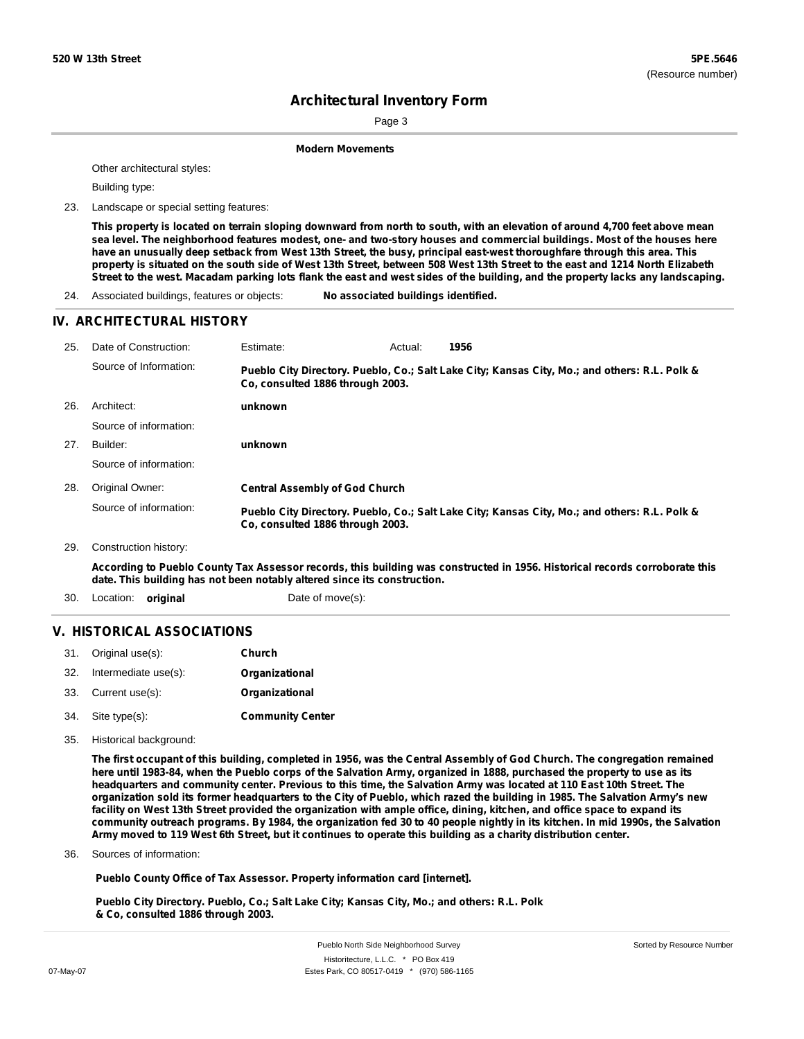Sorted by Resource Number

# **Architectural Inventory Form**

Page 3

**Modern Movements**

Other architectural styles:

Building type:

23. Landscape or special setting features:

This property is located on terrain sloping downward from north to south, with an elevation of around 4,700 feet above mean sea level. The neighborhood features modest, one- and two-story houses and commercial buildings. Most of the houses here have an unusually deep setback from West 13th Street, the busy, principal east-west thoroughfare through this area. This property is situated on the south side of West 13th Street, between 508 West 13th Street to the east and 1214 North Elizabeth Street to the west. Macadam parking lots flank the east and west sides of the building, and the property lacks any landscaping.

24. Associated buildings, features or objects: **No associated buildings identified.**

### **IV. ARCHITECTURAL HISTORY**

| 25. | Date of Construction:  | Estimate:                             | Actual: | 1956                                                                                          |
|-----|------------------------|---------------------------------------|---------|-----------------------------------------------------------------------------------------------|
|     | Source of Information: | Co. consulted 1886 through 2003.      |         | Pueblo City Directory. Pueblo, Co.; Salt Lake City; Kansas City, Mo.; and others: R.L. Polk & |
| 26. | Architect:             | unknown                               |         |                                                                                               |
|     | Source of information: |                                       |         |                                                                                               |
| 27. | Builder:               | unknown                               |         |                                                                                               |
|     | Source of information: |                                       |         |                                                                                               |
| 28. | Original Owner:        | <b>Central Assembly of God Church</b> |         |                                                                                               |
|     | Source of information: | Co. consulted 1886 through 2003.      |         | Pueblo City Directory. Pueblo, Co.; Salt Lake City; Kansas City, Mo.; and others: R.L. Polk & |
| 29. | Construction history:  |                                       |         |                                                                                               |

According to Pueblo County Tax Assessor records, this building was constructed in 1956. Historical records corroborate this **date. This building has not been notably altered since its construction.**

30. Location: **original Date of move(s):** 

### **V. HISTORICAL ASSOCIATIONS**

|     | 31. Original use(s): | Church                |
|-----|----------------------|-----------------------|
| 32. | Intermediate use(s): | <b>Organizational</b> |
|     | 33. Current use(s):  | Organizational        |
|     |                      |                       |

- **Community Center** Site type(s): 34.
- 35. Historical background:

The first occupant of this building, completed in 1956, was the Central Assembly of God Church. The congregation remained here until 1983-84, when the Pueblo corps of the Salvation Army, organized in 1888, purchased the property to use as its headquarters and community center. Previous to this time, the Salvation Army was located at 110 East 10th Street. The organization sold its former headquarters to the City of Pueblo, which razed the building in 1985. The Salvation Army's new facility on West 13th Street provided the organization with ample office, dining, kitchen, and office space to expand its community outreach programs. By 1984, the organization fed 30 to 40 people nightly in its kitchen. In mid 1990s, the Salvation Army moved to 119 West 6th Street, but it continues to operate this building as a charity distribution center.

Sources of information: 36.

**Pueblo County Office of Tax Assessor. Property information card [internet].**

**Pueblo City Directory. Pueblo, Co.; Salt Lake City; Kansas City, Mo.; and others: R.L. Polk & Co, consulted 1886 through 2003.**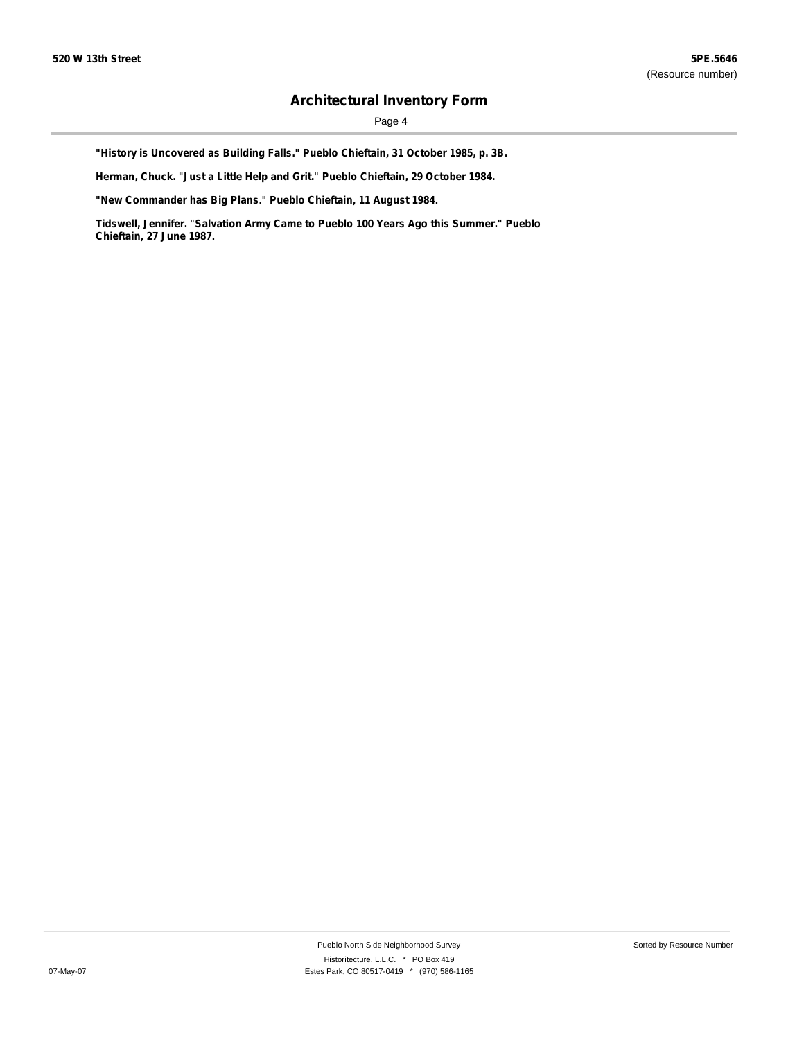Page 4

**"History is Uncovered as Building Falls." Pueblo Chieftain, 31 October 1985, p. 3B.**

**Herman, Chuck. "Just a Little Help and Grit." Pueblo Chieftain, 29 October 1984.**

**"New Commander has Big Plans." Pueblo Chieftain, 11 August 1984.**

**Tidswell, Jennifer. "Salvation Army Came to Pueblo 100 Years Ago this Summer." Pueblo Chieftain, 27 June 1987.**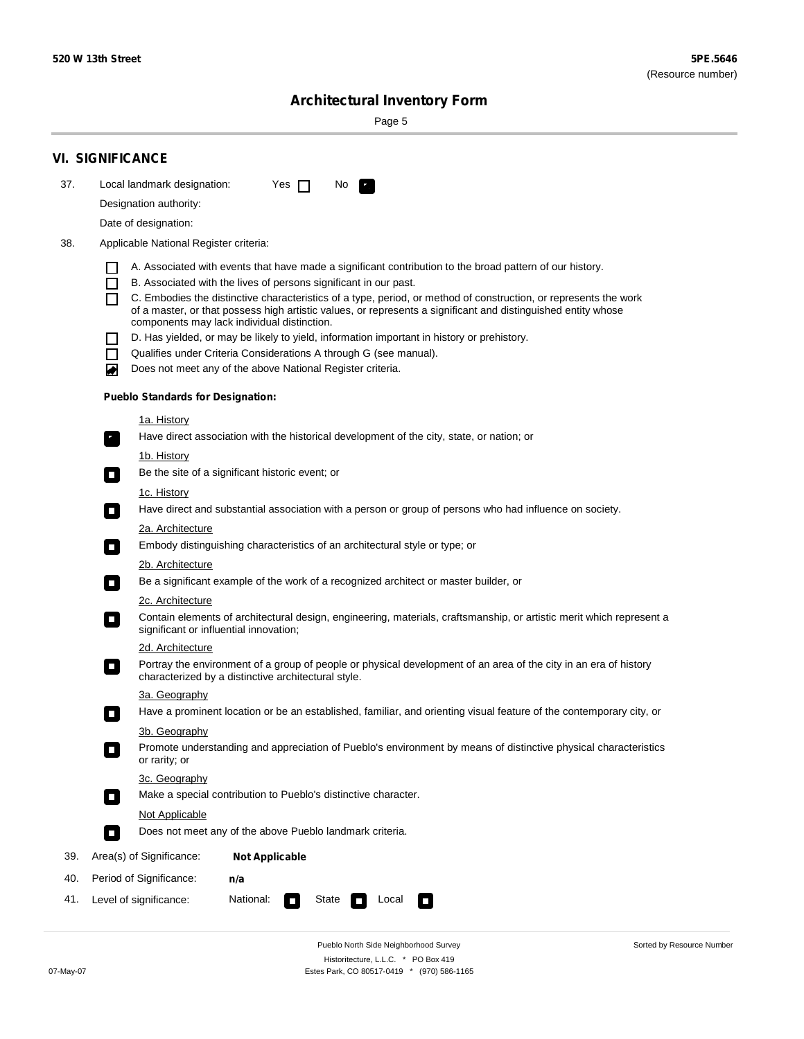Sorted by Resource Number

# **Architectural Inventory Form**

Page 5

|     | <b>VI. SIGNIFICANCE</b>                                                                                                                                                                        |  |  |  |  |  |  |  |
|-----|------------------------------------------------------------------------------------------------------------------------------------------------------------------------------------------------|--|--|--|--|--|--|--|
| 37. | Local landmark designation:<br>Yes $\Box$<br>No.<br>HE 2                                                                                                                                       |  |  |  |  |  |  |  |
|     | Designation authority:                                                                                                                                                                         |  |  |  |  |  |  |  |
|     | Date of designation:                                                                                                                                                                           |  |  |  |  |  |  |  |
| 38. | Applicable National Register criteria:                                                                                                                                                         |  |  |  |  |  |  |  |
|     |                                                                                                                                                                                                |  |  |  |  |  |  |  |
|     | A. Associated with events that have made a significant contribution to the broad pattern of our history.<br>B. Associated with the lives of persons significant in our past.<br>$\blacksquare$ |  |  |  |  |  |  |  |
|     | C. Embodies the distinctive characteristics of a type, period, or method of construction, or represents the work<br>П                                                                          |  |  |  |  |  |  |  |
|     | of a master, or that possess high artistic values, or represents a significant and distinguished entity whose<br>components may lack individual distinction.                                   |  |  |  |  |  |  |  |
|     | D. Has yielded, or may be likely to yield, information important in history or prehistory.                                                                                                     |  |  |  |  |  |  |  |
|     | Qualifies under Criteria Considerations A through G (see manual).<br>$\sim$                                                                                                                    |  |  |  |  |  |  |  |
|     | Does not meet any of the above National Register criteria.<br>₩                                                                                                                                |  |  |  |  |  |  |  |
|     | <b>Pueblo Standards for Designation:</b>                                                                                                                                                       |  |  |  |  |  |  |  |
|     | 1a. History                                                                                                                                                                                    |  |  |  |  |  |  |  |
|     | Have direct association with the historical development of the city, state, or nation; or<br>$\mathbf{r}_\perp$                                                                                |  |  |  |  |  |  |  |
|     | 1b. History                                                                                                                                                                                    |  |  |  |  |  |  |  |
|     | Be the site of a significant historic event; or<br>$\blacksquare$                                                                                                                              |  |  |  |  |  |  |  |
|     | 1c. History                                                                                                                                                                                    |  |  |  |  |  |  |  |
|     | Have direct and substantial association with a person or group of persons who had influence on society.<br>$\overline{\phantom{a}}$                                                            |  |  |  |  |  |  |  |
|     | 2a. Architecture<br>Embody distinguishing characteristics of an architectural style or type; or<br>$\mathcal{L}_{\mathcal{A}}$                                                                 |  |  |  |  |  |  |  |
|     | <u>2b. Architecture</u>                                                                                                                                                                        |  |  |  |  |  |  |  |
|     | Be a significant example of the work of a recognized architect or master builder, or<br>$\Box$                                                                                                 |  |  |  |  |  |  |  |
|     | 2c. Architecture                                                                                                                                                                               |  |  |  |  |  |  |  |
|     | Contain elements of architectural design, engineering, materials, craftsmanship, or artistic merit which represent a<br>$\Box$<br>significant or influential innovation;                       |  |  |  |  |  |  |  |
|     | 2d. Architecture                                                                                                                                                                               |  |  |  |  |  |  |  |
|     | Portray the environment of a group of people or physical development of an area of the city in an era of history<br>$\Box$<br>characterized by a distinctive architectural style.              |  |  |  |  |  |  |  |
|     | 3a. Geography                                                                                                                                                                                  |  |  |  |  |  |  |  |
|     | Have a prominent location or be an established, familiar, and orienting visual feature of the contemporary city, or                                                                            |  |  |  |  |  |  |  |
|     | 3b. Geography                                                                                                                                                                                  |  |  |  |  |  |  |  |
|     | Promote understanding and appreciation of Pueblo's environment by means of distinctive physical characteristics<br>or rarity; or                                                               |  |  |  |  |  |  |  |
|     | 3c. Geography                                                                                                                                                                                  |  |  |  |  |  |  |  |
|     | Make a special contribution to Pueblo's distinctive character.<br>$\Box$                                                                                                                       |  |  |  |  |  |  |  |
|     | <b>Not Applicable</b>                                                                                                                                                                          |  |  |  |  |  |  |  |
|     | Does not meet any of the above Pueblo landmark criteria.<br>$\overline{\phantom{a}}$                                                                                                           |  |  |  |  |  |  |  |
| 39. | Area(s) of Significance:<br><b>Not Applicable</b>                                                                                                                                              |  |  |  |  |  |  |  |
| 40. | Period of Significance:<br>n/a                                                                                                                                                                 |  |  |  |  |  |  |  |
| 41. | National:<br>Level of significance:<br>State<br>Local<br>$\Box$<br>□                                                                                                                           |  |  |  |  |  |  |  |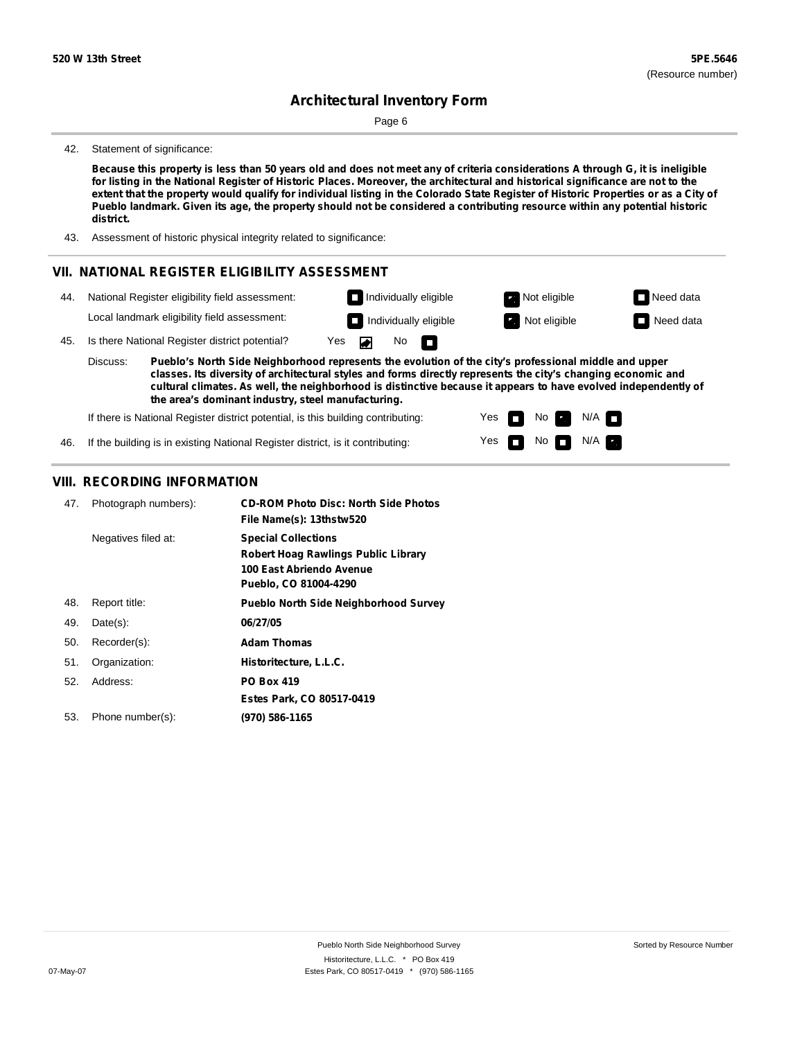Page 6

#### 42. Statement of significance:

Because this property is less than 50 years old and does not meet any of criteria considerations A through G, it is ineligible for listing in the National Register of Historic Places. Moreover, the architectural and historical significance are not to the extent that the property would qualify for individual listing in the Colorado State Register of Historic Properties or as a City of Pueblo landmark. Given its age, the property should not be considered a contributing resource within any potential historic **district.**

43. Assessment of historic physical integrity related to significance:

### **VII. NATIONAL REGISTER ELIGIBILITY ASSESSMENT**



**Pueblo's North Side Neighborhood represents the evolution of the city's professional middle and upper classes. Its diversity of architectural styles and forms directly represents the city's changing economic and cultural climates. As well, the neighborhood is distinctive because it appears to have evolved independently of the area's dominant industry, steel manufacturing.** Discuss:

Yes

Yes  $\Box$ 

П

No

 $N$ o  $N/A$ 

 $N/A$ 

If there is National Register district potential, is this building contributing:

If the building is in existing National Register district, is it contributing: 46.

### **VIII. RECORDING INFORMATION**

| 47. | Photograph numbers): | <b>CD-ROM Photo Disc: North Side Photos</b><br>File Name(s): 13thstw520                                                       |
|-----|----------------------|-------------------------------------------------------------------------------------------------------------------------------|
|     | Negatives filed at:  | <b>Special Collections</b><br><b>Robert Hoag Rawlings Public Library</b><br>100 East Abriendo Avenue<br>Pueblo, CO 81004-4290 |
| 48. | Report title:        | <b>Pueblo North Side Neighborhood Survey</b>                                                                                  |
| 49. | $Date(s)$ :          | 06/27/05                                                                                                                      |
| 50. | Recorder(s):         | <b>Adam Thomas</b>                                                                                                            |
| 51. | Organization:        | Historitecture, L.L.C.                                                                                                        |
| 52. | Address:             | <b>PO Box 419</b>                                                                                                             |
|     |                      | Estes Park, CO 80517-0419                                                                                                     |
| 53. | Phone number(s):     | (970) 586-1165                                                                                                                |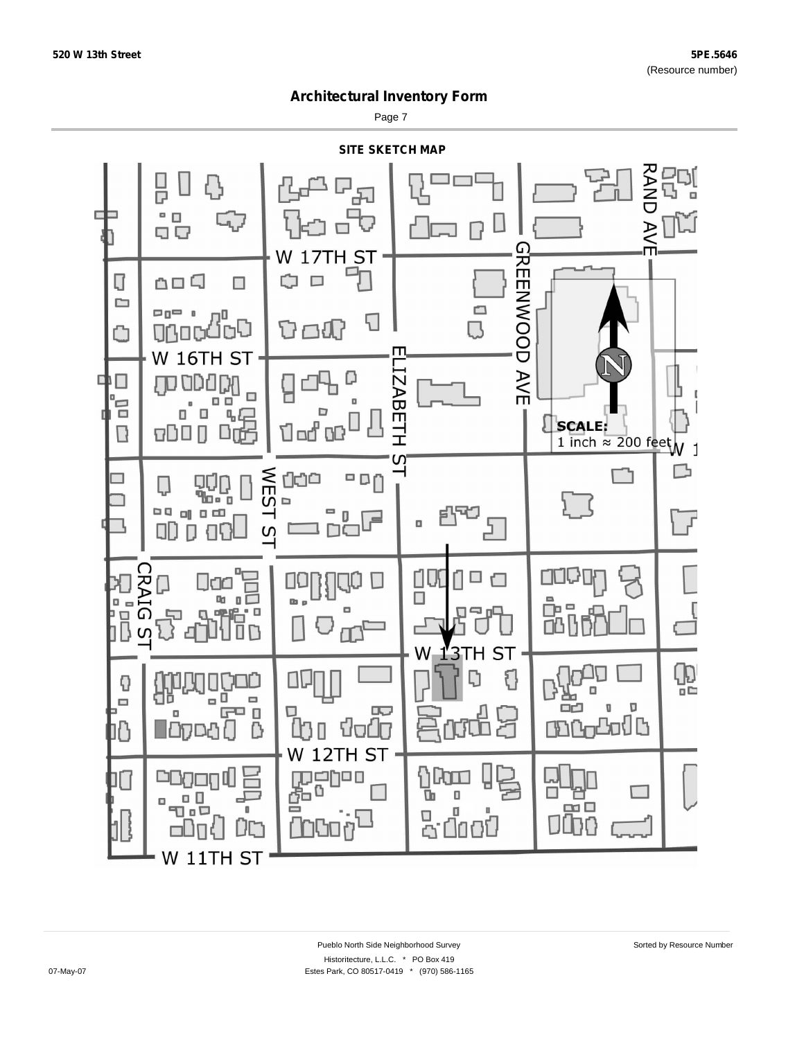Page 7